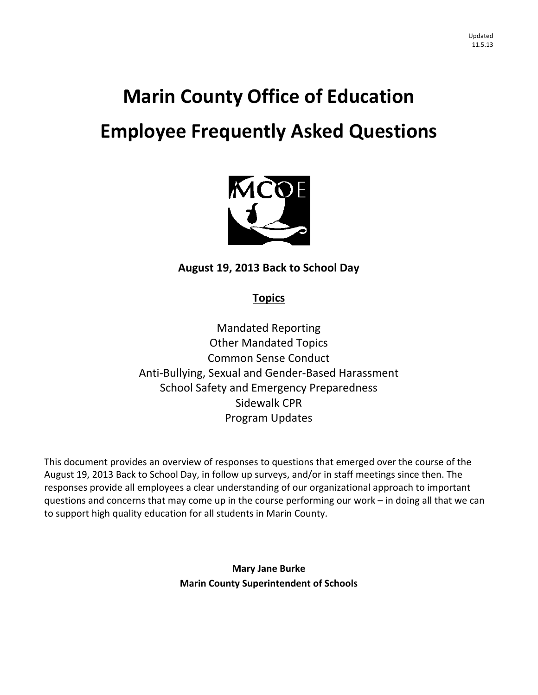# **Marin County Office of Education Employee Frequently Asked Questions**



# **August 19, 2013 Back to School Day**

# **Topics**

Mandated Reporting Other Mandated Topics Common Sense Conduct Anti‐Bullying, Sexual and Gender‐Based Harassment School Safety and Emergency Preparedness Sidewalk CPR Program Updates

This document provides an overview of responses to questions that emerged over the course of the August 19, 2013 Back to School Day, in follow up surveys, and/or in staff meetings since then. The responses provide all employees a clear understanding of our organizational approach to important questions and concerns that may come up in the course performing our work – in doing all that we can to support high quality education for all students in Marin County.

> **Mary Jane Burke Marin County Superintendent of Schools**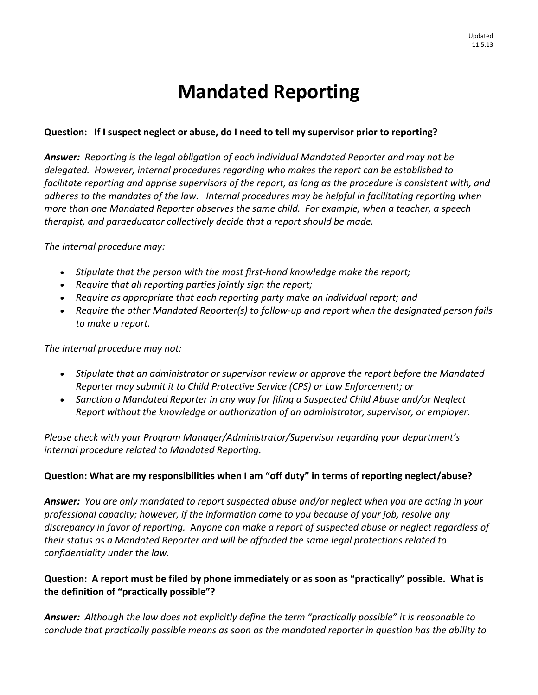# **Mandated Reporting**

# **Question: If I suspect neglect or abuse, do I need to tell my supervisor prior to reporting?**

*Answer: Reporting is the legal obligation of each individual Mandated Reporter and may not be delegated. However, internal procedures regarding who makes the report can be established to* facilitate reporting and apprise supervisors of the report, as long as the procedure is consistent with, and *adheres to the mandates of the law. Internal procedures may be helpful in facilitating reporting when more than one Mandated Reporter observes the same child. For example, when a teacher, a speech therapist, and paraeducator collectively decide that a report should be made.* 

*The internal procedure may:* 

- *Stipulate that the person with the most first‐hand knowledge make the report;*
- *Require that all reporting parties jointly sign the report;*
- *Require as appropriate that each reporting party make an individual report; and*
- *Require the other Mandated Reporter(s) to follow‐up and report when the designated person fails to make a report.*

*The internal procedure may not:* 

- *Stipulate that an administrator or supervisor review or approve the report before the Mandated Reporter may submit it to Child Protective Service (CPS) or Law Enforcement; or*
- *Sanction a Mandated Reporter in any way for filing a Suspected Child Abuse and/or Neglect Report without the knowledge or authorization of an administrator, supervisor, or employer.*

*Please check with your Program Manager/Administrator/Supervisor regarding your department's internal procedure related to Mandated Reporting.*

## **Question: What are my responsibilities when I am "off duty" in terms of reporting neglect/abuse?**

Answer: You are only mandated to report suspected abuse and/or neglect when you are acting in your *professional capacity; however, if the information came to you because of your job, resolve any* discrepancy in favor of reporting. Anyone can make a report of suspected abuse or neglect regardless of *their status as a Mandated Reporter and will be afforded the same legal protections related to confidentiality under the law.*

# Question: A report must be filed by phone immediately or as soon as "practically" possible. What is **the definition of "practically possible"?**

*Answer: Although the law does not explicitly define the term "practically possible" it is reasonable to conclude that practically possible means as soon as the mandated reporter in question has the ability to*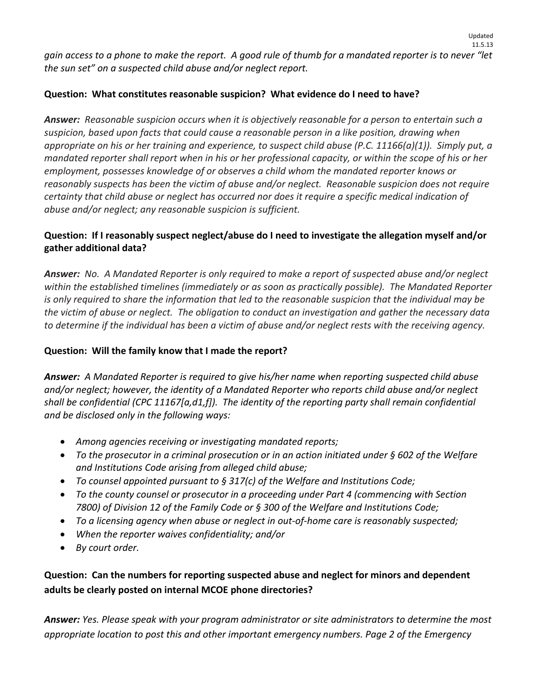gain access to a phone to make the report. A good rule of thumb for a mandated reporter is to never "let *the sun set" on a suspected child abuse and/or neglect report.* 

# **Question: What constitutes reasonable suspicion? What evidence do I need to have?**

*Answer: Reasonable suspicion occurs when it is objectively reasonable for a person to entertain such a suspicion, based upon facts that could cause a reasonable person in a like position, drawing when* appropriate on his or her training and experience, to suspect child abuse (P.C. 11166(a)(1)). Simply put, a mandated reporter shall report when in his or her professional capacity, or within the scope of his or her *employment, possesses knowledge of or observes a child whom the mandated reporter knows or reasonably suspects has been the victim of abuse and/or neglect. Reasonable suspicion does not require certainty that child abuse or neglect has occurred nor does it require a specific medical indication of abuse and/or neglect; any reasonable suspicion is sufficient.*

# **Question: If I reasonably suspect neglect/abuse do I need to investigate the allegation myself and/or gather additional data?**

Answer: No. A Mandated Reporter is only required to make a report of suspected abuse and/or neglect *within the established timelines (immediately or as soon as practically possible). The Mandated Reporter* is only required to share the information that led to the reasonable suspicion that the individual may be the victim of abuse or neglect. The obligation to conduct an investigation and gather the necessary data to determine if the individual has been a victim of abuse and/or neglect rests with the receiving agency.

# **Question: Will the family know that I made the report?**

*Answer: A Mandated Reporter is required to give his/her name when reporting suspected child abuse and/or neglect; however, the identity of a Mandated Reporter who reports child abuse and/or neglect shall be confidential (CPC 11167[a,d1,f]). The identity of the reporting party shall remain confidential and be disclosed only in the following ways:* 

- *Among agencies receiving or investigating mandated reports;*
- *To the prosecutor in a criminal prosecution or in an action initiated under § 602 of the Welfare and Institutions Code arising from alleged child abuse;*
- *To counsel appointed pursuant to § 317(c) of the Welfare and Institutions Code;*
- *To the county counsel or prosecutor in a proceeding under Part 4 (commencing with Section 7800) of Division 12 of the Family Code or § 300 of the Welfare and Institutions Code;*
- *To a licensing agency when abuse or neglect in out‐of‐home care is reasonably suspected;*
- *When the reporter waives confidentiality; and/or*
- *By court order.*

# **Question: Can the numbers for reporting suspected abuse and neglect for minors and dependent adults be clearly posted on internal MCOE phone directories?**

*Answer: Yes. Please speak with your program administrator or site administrators to determine the most appropriate location to post this and other important emergency numbers. Page 2 of the Emergency*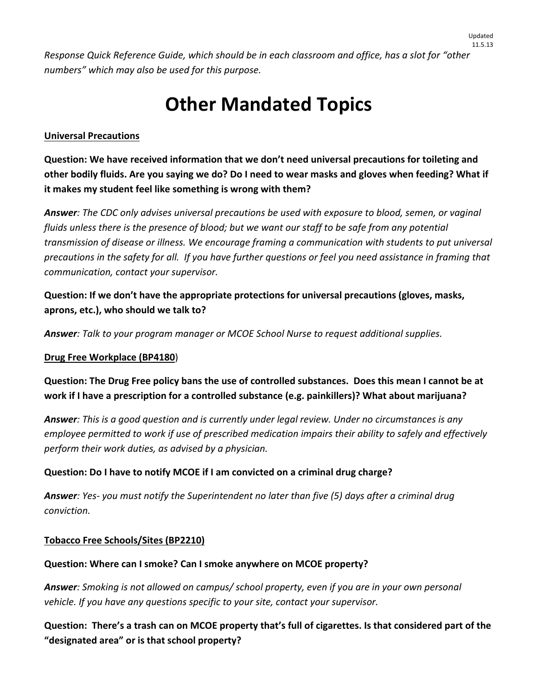*Response Quick Reference Guide, which should be in each classroom and office, has a slot for "other numbers" which may also be used for this purpose.*

# **Other Mandated Topics**

### **Universal Precautions**

**Question: We have received information that we don't need universal precautions for toileting and** other bodily fluids. Are you saying we do? Do I need to wear masks and gloves when feeding? What if **it makes my student feel like something is wrong with them?**

*Answer: The CDC only advises universal precautions be used with exposure to blood, semen, or vaginal* fluids unless there is the presence of blood; but we want our staff to be safe from any potential *transmission of disease or illness. We encourage framing a communication with students to put universal* precautions in the safety for all. If you have further questions or feel you need assistance in framing that *communication, contact your supervisor.*

**Question: If we don't have the appropriate protections for universal precautions (gloves, masks, aprons, etc.), who should we talk to?**

*Answer: Talk to your program manager or MCOE School Nurse to request additional supplies.*

### **Drug Free Workplace (BP4180**)

Question: The Drug Free policy bans the use of controlled substances. Does this mean I cannot be at **work if I have a prescription for a controlled substance (e.g. painkillers)? What about marijuana?**

*Answer: This is a good question and is currently under legal review. Under no circumstances is any employee permitted to work if use of prescribed medication impairs their ability to safely and effectively perform their work duties, as advised by a physician.*

## **Question: Do I have to notify MCOE if I am convicted on a criminal drug charge?**

**Answer**: Yes- you must notify the Superintendent no later than five (5) days after a criminal drug *conviction.*

### **Tobacco Free Schools/Sites (BP2210)**

### **Question: Where can I smoke? Can I smoke anywhere on MCOE property?**

*Answer: Smoking is not allowed on campus/ school property, even if you are in your own personal vehicle. If you have any questions specific to your site, contact your supervisor.*

Question: There's a trash can on MCOE property that's full of cigarettes. Is that considered part of the **"designated area" or is that school property?**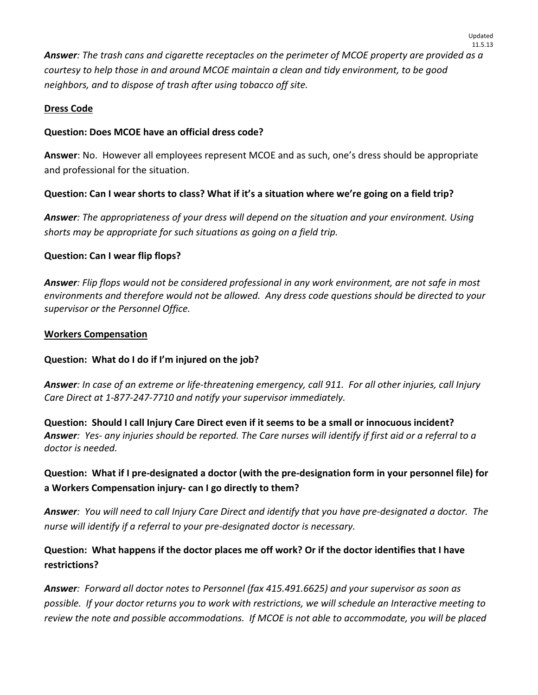Answer: The trash cans and cigarette receptacles on the perimeter of MCOE property are provided as a *courtesy to help those in and around MCOE maintain a clean and tidy environment, to be good neighbors, and to dispose of trash after using tobacco off site.*

## **Dress Code**

# **Question: Does MCOE have an official dress code?**

**Answer**: No. However all employees represent MCOE and as such, one's dress should be appropriate and professional for the situation.

# Question: Can I wear shorts to class? What if it's a situation where we're going on a field trip?

*Answer: The appropriateness of your dress will depend on the situation and your environment. Using shorts may be appropriate for such situations as going on a field trip.*

## **Question: Can I wear flip flops?**

Answer: Flip flops would not be considered professional in any work environment, are not safe in most *environments and therefore would not be allowed. Any dress code questions should be directed to your supervisor or the Personnel Office.*

## **Workers Compensation**

## **Question: What do I do if I'm injured on the job?**

Answer: In case of an extreme or life-threatening emergency, call 911. For all other injuries, call Injury *Care Direct at 1‐877‐247‐7710 and notify your supervisor immediately.*

Question: Should I call Injury Care Direct even if it seems to be a small or innocuous incident? Answer: Yes- any injuries should be reported. The Care nurses will identify if first aid or a referral to a *doctor is needed.*

# Question: What if I pre-designated a doctor (with the pre-designation form in your personnel file) for **a Workers Compensation injury‐ can I go directly to them?**

**Answer:** You will need to call Injury Care Direct and identify that you have pre-designated a doctor. The *nurse will identify if a referral to your pre‐designated doctor is necessary.*

# Question: What happens if the doctor places me off work? Or if the doctor identifies that I have **restrictions?**

*Answer: Forward all doctor notes to Personnel (fax 415.491.6625) and your supervisor as soon as* possible. If your doctor returns you to work with restrictions, we will schedule an Interactive meeting to review the note and possible accommodations. If MCOE is not able to accommodate, you will be placed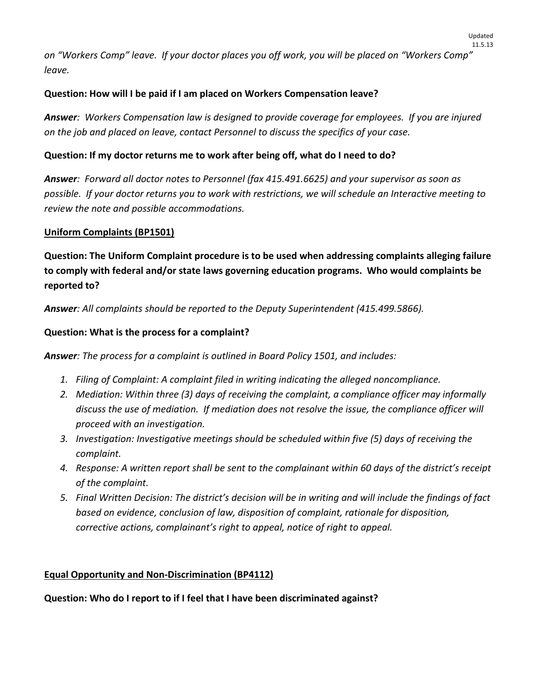on "Workers Comp" leave. If your doctor places you off work, you will be placed on "Workers Comp" *leave.*

### **Question: How will I be paid if I am placed on Workers Compensation leave?**

**Answer:** Workers Compensation law is designed to provide coverage for employees. If you are injured *on the job and placed on leave, contact Personnel to discuss the specifics of your case.* 

### **Question: If my doctor returns me to work after being off, what do I need to do?**

*Answer: Forward all doctor notes to Personnel (fax 415.491.6625) and your supervisor as soon as* possible. If your doctor returns you to work with restrictions, we will schedule an Interactive meeting to *review the note and possible accommodations.* 

#### **Uniform Complaints (BP1501)**

**Question: The Uniform Complaint procedure is to be used when addressing complaints alleging failure to comply with federal and/or state laws governing education programs. Who would complaints be reported to?** 

*Answer: All complaints should be reported to the Deputy Superintendent (415.499.5866).*

#### **Question: What is the process for a complaint?**

*Answer: The process for a complaint is outlined in Board Policy 1501, and includes:*

- *1. Filing of Complaint: A complaint filed in writing indicating the alleged noncompliance.*
- *2. Mediation: Within three (3) days of receiving the complaint, a compliance officer may informally discuss the use of mediation. If mediation does not resolve the issue, the compliance officer will proceed with an investigation.*
- *3. Investigation: Investigative meetings should be scheduled within five (5) days of receiving the complaint.*
- 4. Response: A written report shall be sent to the complainant within 60 days of the district's receipt *of the complaint.*
- 5. Final Written Decision: The district's decision will be in writing and will include the findings of fact *based on evidence, conclusion of law, disposition of complaint, rationale for disposition, corrective actions, complainant's right to appeal, notice of right to appeal.*

#### **Equal Opportunity and Non‐Discrimination (BP4112)**

**Question: Who do I report to if I feel that I have been discriminated against?**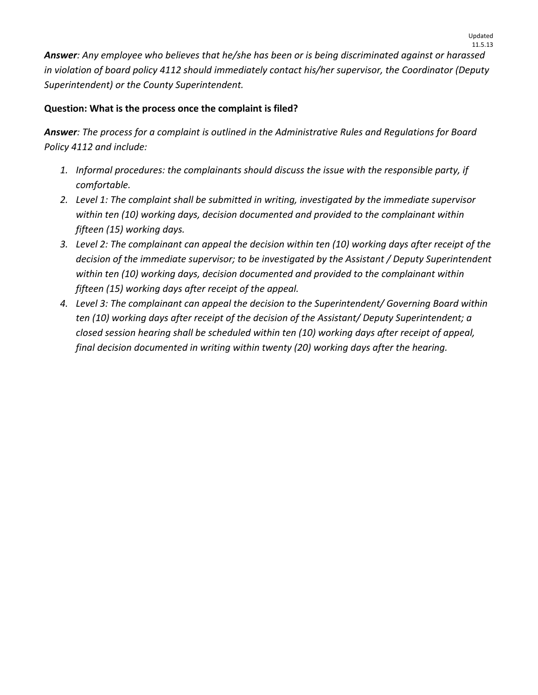*Answer: Any employee who believes that he/she has been or is being discriminated against or harassed in violation of board policy 4112 should immediately contact his/her supervisor, the Coordinator (Deputy Superintendent) or the County Superintendent.* 

# **Question: What is the process once the complaint is filed?**

*Answer: The process for a complaint is outlined in the Administrative Rules and Regulations for Board Policy 4112 and include:*

- *1. Informal procedures: the complainants should discuss the issue with the responsible party, if comfortable.*
- *2. Level 1: The complaint shall be submitted in writing, investigated by the immediate supervisor within ten (10) working days, decision documented and provided to the complainant within fifteen (15) working days.*
- 3. Level 2: The complainant can appeal the decision within ten (10) working days after receipt of the *decision of the immediate supervisor; to be investigated by the Assistant / Deputy Superintendent within ten (10) working days, decision documented and provided to the complainant within fifteen (15) working days after receipt of the appeal.*
- *4. Level 3: The complainant can appeal the decision to the Superintendent/ Governing Board within ten (10) working days after receipt of the decision of the Assistant/ Deputy Superintendent; a closed session hearing shall be scheduled within ten (10) working days after receipt of appeal, final decision documented in writing within twenty (20) working days after the hearing.*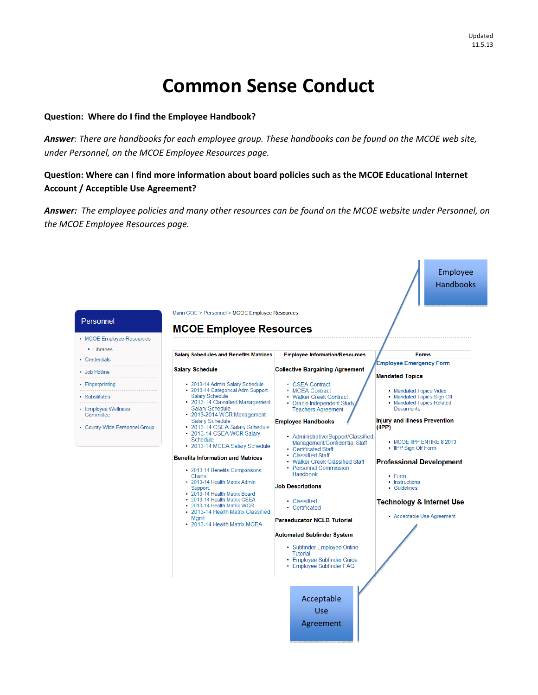# **Common Sense Conduct**

#### **Question: Where do I find the Employee Handbook?**

Answer: There are handbooks for each employee group. These handbooks can be found on the MCOE web site, *under Personnel, on the MCOE Employee Resources page.*

### **Question: Where can I find more information about board policies such as the MCOE Educational Internet Account / Acceptible Use Agreement?**

Answer: The employee policies and many other resources can be found on the MCOE website under Personnel, on *the MCOE Employee Resources page.* 

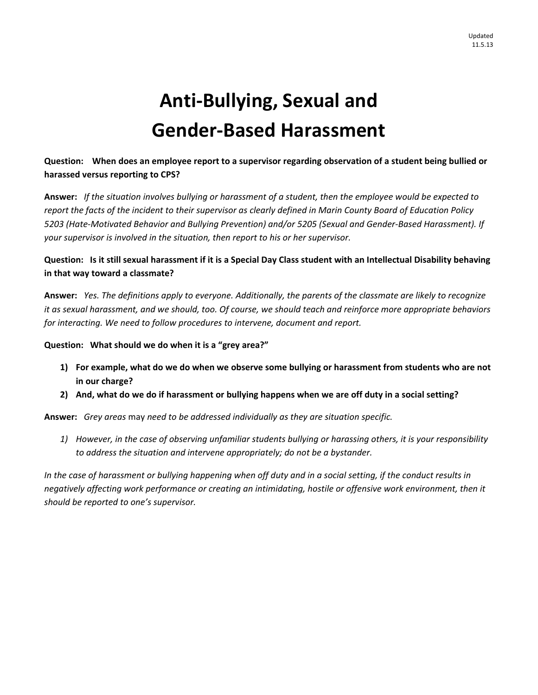# **Anti‐Bullying, Sexual and Gender‐Based Harassment**

## Question: When does an employee report to a supervisor regarding observation of a student being bullied or **harassed versus reporting to CPS?**

Answer: If the situation involves bullying or harassment of a student, then the employee would be expected to report the facts of the incident to their supervisor as clearly defined in Marin County Board of Education Policy 5203 (Hate-Motivated Behavior and Bullying Prevention) and/or 5205 (Sexual and Gender-Based Harassment). If *your supervisor is involved in the situation, then report to his or her supervisor.* 

### Question: Is it still sexual harassment if it is a Special Day Class student with an Intellectual Disability behaving **in that way toward a classmate?**

Answer: Yes. The definitions apply to everyone. Additionally, the parents of the classmate are likely to recognize it as sexual harassment, and we should, too. Of course, we should teach and reinforce more appropriate behaviors *for interacting. We need to follow procedures to intervene, document and report.* 

### **Question: What should we do when it is a "grey area?"**

- 1) For example, what do we do when we observe some bullying or harassment from students who are not **in our charge?**
- 2) And, what do we do if harassment or bullying happens when we are off duty in a social setting?

**Answer:** *Grey areas* may *need to be addressed individually as they are situation specific.* 

1) However, in the case of observing unfamiliar students bullying or harassing others, it is your responsibility *to address the situation and intervene appropriately; do not be a bystander.* 

In the case of harassment or bullying happening when off duty and in a social setting, if the conduct results in *negatively affecting work performance or creating an intimidating, hostile or offensive work environment, then it should be reported to one's supervisor.*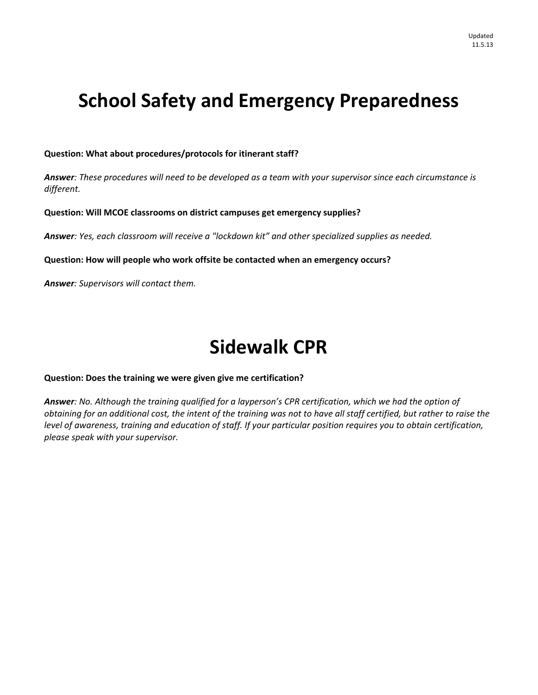# **School Safety and Emergency Preparedness**

#### **Question: What about procedures/protocols for itinerant staff?**

Answer: These procedures will need to be developed as a team with your supervisor since each circumstance is *different.*

**Question: Will MCOE classrooms on district campuses get emergency supplies?**

*Answer: Yes, each classroom will receive a "lockdown kit" and other specialized supplies as needed.*

**Question: How will people who work offsite be contacted when an emergency occurs?** 

*Answer: Supervisors will contact them.*

# **Sidewalk CPR**

#### **Question: Does the training we were given give me certification?**

Answer: No. Although the training qualified for a layperson's CPR certification, which we had the option of obtaining for an additional cost, the intent of the training was not to have all staff certified, but rather to raise the level of awareness, training and education of staff. If your particular position requires you to obtain certification, *please speak with your supervisor.*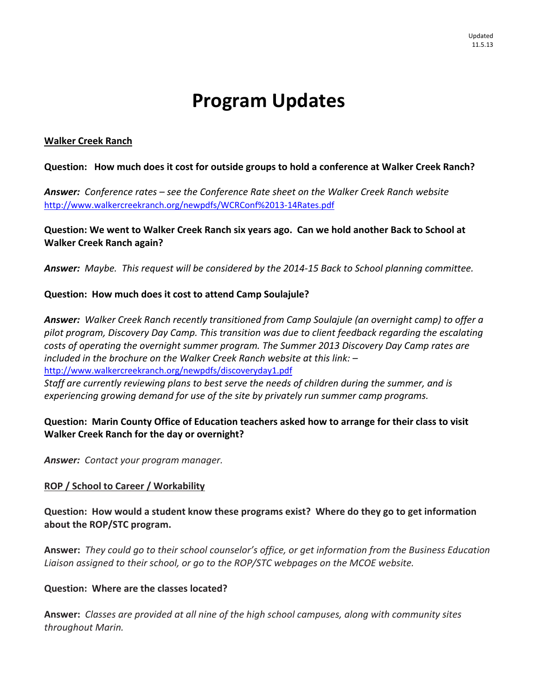# **Program Updates**

### **Walker Creek Ranch**

### **Question: How much does it cost for outside groups to hold a conference at Walker Creek Ranch?**

*Answer: Conference rates – see the Conference Rate sheet on the Walker Creek Ranch website* http://www.walkercreekranch.org/newpdfs/WCRConf%2013‐14Rates.pdf 

Question: We went to Walker Creek Ranch six years ago. Can we hold another Back to School at **Walker Creek Ranch again?** 

Answer: Maybe. This request will be considered by the 2014-15 Back to School planning committee.

### **Question: How much does it cost to attend Camp Soulajule?**

*Answer: Walker Creek Ranch recently transitioned from Camp Soulajule (an overnight camp) to offer a pilot program, Discovery Day Camp. This transition was due to client feedback regarding the escalating costs of operating the overnight summer program. The Summer 2013 Discovery Day Camp rates are included in the brochure on the Walker Creek Ranch website at this link: –* http://www.walkercreekranch.org/newpdfs/discoveryday1.pdf 

*Staff are currently reviewing plans to best serve the needs of children during the summer, and is experiencing growing demand for use of the site by privately run summer camp programs.*

## **Question: Marin County Office of Education teachers asked how to arrange for their class to visit Walker Creek Ranch for the day or overnight?**

*Answer: Contact your program manager.* 

### **ROP / School to Career / Workability**

**Question: How would a student know these programs exist? Where do they go to get information about the ROP/STC program.** 

**Answer:** *They could go to their school counselor's office, or get information from the Business Education Liaison assigned to their school, or go to the ROP/STC webpages on the MCOE website.* 

### **Question: Where are the classes located?**

**Answer:** *Classes are provided at all nine of the high school campuses, along with community sites throughout Marin.*